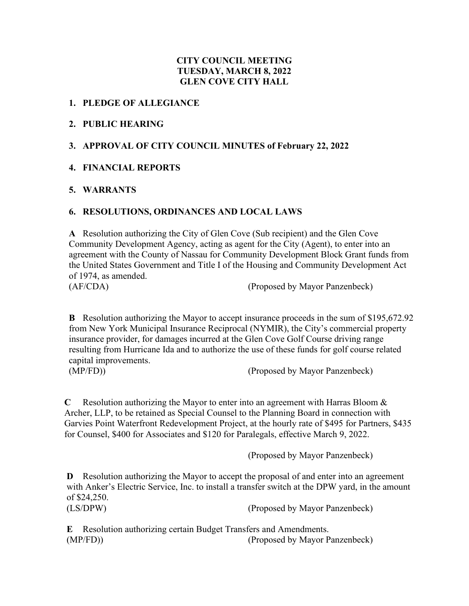#### **CITY COUNCIL MEETING TUESDAY, MARCH 8, 2022 GLEN COVE CITY HALL**

#### **1. PLEDGE OF ALLEGIANCE**

#### **2. PUBLIC HEARING**

#### **3. APPROVAL OF CITY COUNCIL MINUTES of February 22, 2022**

#### **4. FINANCIAL REPORTS**

#### **5. WARRANTS**

#### **6. RESOLUTIONS, ORDINANCES AND LOCAL LAWS**

**A** Resolution authorizing the City of Glen Cove (Sub recipient) and the Glen Cove Community Development Agency, acting as agent for the City (Agent), to enter into an agreement with the County of Nassau for Community Development Block Grant funds from the United States Government and Title I of the Housing and Community Development Act of 1974, as amended. (AF/CDA) (Proposed by Mayor Panzenbeck)

**B** Resolution authorizing the Mayor to accept insurance proceeds in the sum of \$195,672.92 from New York Municipal Insurance Reciprocal (NYMIR), the City's commercial property insurance provider, for damages incurred at the Glen Cove Golf Course driving range resulting from Hurricane Ida and to authorize the use of these funds for golf course related capital improvements.

(MP/FD)) (Proposed by Mayor Panzenbeck)

**C** Resolution authorizing the Mayor to enter into an agreement with Harras Bloom & Archer, LLP, to be retained as Special Counsel to the Planning Board in connection with Garvies Point Waterfront Redevelopment Project, at the hourly rate of \$495 for Partners, \$435 for Counsel, \$400 for Associates and \$120 for Paralegals, effective March 9, 2022.

(Proposed by Mayor Panzenbeck)

**D** Resolution authorizing the Mayor to accept the proposal of and enter into an agreement with Anker's Electric Service, Inc. to install a transfer switch at the DPW yard, in the amount of \$24,250.

(LS/DPW) (Proposed by Mayor Panzenbeck)

**E** Resolution authorizing certain Budget Transfers and Amendments. (MP/FD)) (Proposed by Mayor Panzenbeck)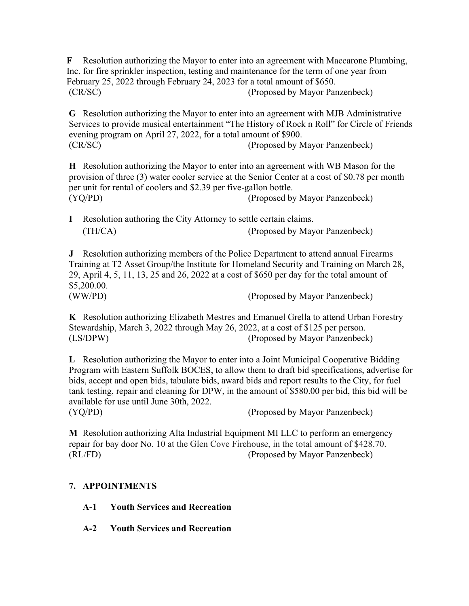**F** Resolution authorizing the Mayor to enter into an agreement with Maccarone Plumbing, Inc. for fire sprinkler inspection, testing and maintenance for the term of one year from February 25, 2022 through February 24, 2023 for a total amount of \$650. (CR/SC) (Proposed by Mayor Panzenbeck)

**G** Resolution authorizing the Mayor to enter into an agreement with MJB Administrative Services to provide musical entertainment "The History of Rock n Roll" for Circle of Friends evening program on April 27, 2022, for a total amount of \$900. (CR/SC) (Proposed by Mayor Panzenbeck)

**H** Resolution authorizing the Mayor to enter into an agreement with WB Mason for the provision of three (3) water cooler service at the Senior Center at a cost of \$0.78 per month per unit for rental of coolers and \$2.39 per five-gallon bottle. (YQ/PD) (Proposed by Mayor Panzenbeck)

**I** Resolution authoring the City Attorney to settle certain claims. (TH/CA) (Proposed by Mayor Panzenbeck)

**J** Resolution authorizing members of the Police Department to attend annual Firearms Training at T2 Asset Group/the Institute for Homeland Security and Training on March 28, 29, April 4, 5, 11, 13, 25 and 26, 2022 at a cost of \$650 per day for the total amount of \$5,200.00. (WW/PD) (Proposed by Mayor Panzenbeck)

**K** Resolution authorizing Elizabeth Mestres and Emanuel Grella to attend Urban Forestry Stewardship, March 3, 2022 through May 26, 2022, at a cost of \$125 per person. (LS/DPW) (Proposed by Mayor Panzenbeck)

**L** Resolution authorizing the Mayor to enter into a Joint Municipal Cooperative Bidding Program with Eastern Suffolk BOCES, to allow them to draft bid specifications, advertise for bids, accept and open bids, tabulate bids, award bids and report results to the City, for fuel tank testing, repair and cleaning for DPW, in the amount of \$580.00 per bid, this bid will be available for use until June 30th, 2022.

(YQ/PD) (Proposed by Mayor Panzenbeck)

**M** Resolution authorizing Alta Industrial Equipment MI LLC to perform an emergency repair for bay door No. 10 at the Glen Cove Firehouse, in the total amount of \$428.70. (RL/FD) (Proposed by Mayor Panzenbeck)

## **7. APPOINTMENTS**

- **A-1 Youth Services and Recreation**
- **A-2 Youth Services and Recreation**